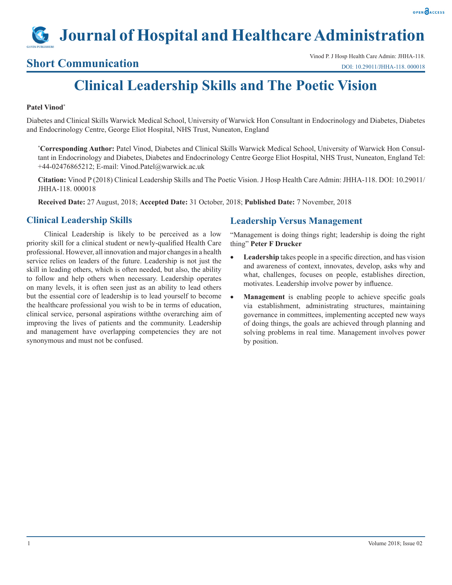# **Journal of Hospital and Healthcare Administration**

Vinod P. J Hosp Health Care Admin: JHHA-118.<br> **Short Communication** Care Admin: JHHA-118. 000018 DOI: 10.29011/JHHA-118. 000018

# **Clinical Leadership Skills and The Poetic Vision**

### **Patel Vinod\***

Diabetes and Clinical Skills Warwick Medical School, University of Warwick Hon Consultant in Endocrinology and Diabetes, Diabetes and Endocrinology Centre, George Eliot Hospital, NHS Trust, Nuneaton, England

**\* Corresponding Author:** Patel Vinod, Diabetes and Clinical Skills Warwick Medical School, University of Warwick Hon Consultant in Endocrinology and Diabetes, Diabetes and Endocrinology Centre George Eliot Hospital, NHS Trust, Nuneaton, England Tel: +44-02476865212; E-mail: Vinod.Patel@warwick.ac.uk

**Citation:** Vinod P (2018) Clinical Leadership Skills and The Poetic Vision. J Hosp Health Care Admin: JHHA-118. DOI: 10.29011/ JHHA-118. 000018

**Received Date:** 27 August, 2018; **Accepted Date:** 31 October, 2018; **Published Date:** 7 November, 2018

# **Clinical Leadership Skills**

Clinical Leadership is likely to be perceived as a low priority skill for a clinical student or newly-qualified Health Care professional. However, all innovation and major changes in a health service relies on leaders of the future. Leadership is not just the skill in leading others, which is often needed, but also, the ability to follow and help others when necessary. Leadership operates on many levels, it is often seen just as an ability to lead others but the essential core of leadership is to lead yourself to become the healthcare professional you wish to be in terms of education, clinical service, personal aspirations withthe overarching aim of improving the lives of patients and the community. Leadership and management have overlapping competencies they are not synonymous and must not be confused.

# **Leadership Versus Management**

"Management is doing things right; leadership is doing the right thing" **Peter F Drucker**

- **Leadership** takes people in a specific direction, and has vision and awareness of context, innovates, develop, asks why and what, challenges, focuses on people, establishes direction, motivates. Leadership involve power by influence.
- **Management** is enabling people to achieve specific goals via establishment, administrating structures, maintaining governance in committees, implementing accepted new ways of doing things, the goals are achieved through planning and solving problems in real time. Management involves power by position.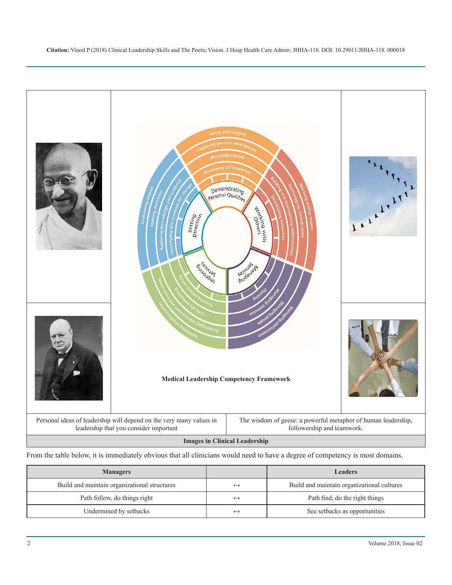

From the table below, it is immediately obvious that all clinicians would need to have a degree of competency is most domains.

| <b>Managers</b>                              |                   | <b>Leaders</b>                             |
|----------------------------------------------|-------------------|--------------------------------------------|
| Build and maintain organizational structures | $\leftrightarrow$ | Build and maintain organizational cultures |
| Path follow, do things right                 | $\leftrightarrow$ | Path find, do the right things             |
| Undermined by setbacks                       | $\leftrightarrow$ | See setbacks as opportunities              |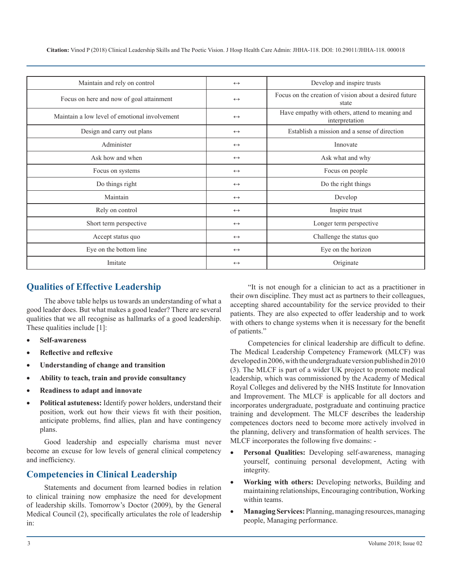**Citation:** Vinod P (2018) Clinical Leadership Skills and The Poetic Vision. J Hosp Health Care Admin: JHHA-118. DOI: 10.29011/JHHA-118. 000018

| Maintain and rely on control                  | $\leftrightarrow$ | Develop and inspire trusts                                        |
|-----------------------------------------------|-------------------|-------------------------------------------------------------------|
| Focus on here and now of goal attainment      | $\leftrightarrow$ | Focus on the creation of vision about a desired future<br>state   |
| Maintain a low level of emotional involvement | $\leftrightarrow$ | Have empathy with others, attend to meaning and<br>interpretation |
| Design and carry out plans                    | $\leftrightarrow$ | Establish a mission and a sense of direction                      |
| Administer                                    | $\leftrightarrow$ | Innovate                                                          |
| Ask how and when                              | $\leftrightarrow$ | Ask what and why                                                  |
| Focus on systems                              | $\leftrightarrow$ | Focus on people                                                   |
| Do things right                               | $\leftrightarrow$ | Do the right things                                               |
| Maintain                                      | $\leftrightarrow$ | Develop                                                           |
| Rely on control                               | $\leftrightarrow$ | Inspire trust                                                     |
| Short term perspective                        | $\leftrightarrow$ | Longer term perspective                                           |
| Accept status quo                             | $\leftrightarrow$ | Challenge the status quo                                          |
| Eye on the bottom line                        | $\leftrightarrow$ | Eye on the horizon                                                |
| Imitate                                       | $\leftrightarrow$ | Originate                                                         |

# **Qualities of Effective Leadership**

The above table helps us towards an understanding of what a good leader does. But what makes a good leader? There are several qualities that we all recognise as hallmarks of a good leadership. These qualities include [1]:

- • **Self-awareness**
- **Reflective and reflexive**
- **Understanding of change and transition**
- Ability to teach, train and provide consultancy
- Readiness to adapt and innovate
- **Political astuteness:** Identify power holders, understand their position, work out how their views fit with their position, anticipate problems, find allies, plan and have contingency plans.

Good leadership and especially charisma must never become an excuse for low levels of general clinical competency and inefficiency.

# **Competencies in Clinical Leadership**

Statements and document from learned bodies in relation to clinical training now emphasize the need for development of leadership skills. Tomorrow's Doctor (2009), by the General Medical Council (2), specifically articulates the role of leadership in:

"It is not enough for a clinician to act as a practitioner in their own discipline. They must act as partners to their colleagues, accepting shared accountability for the service provided to their patients. They are also expected to offer leadership and to work with others to change systems when it is necessary for the benefit of patients."

Competencies for clinical leadership are difficult to define. The Medical Leadership Competency Framework (MLCF) was developed in 2006, with the undergraduate version published in 2010 (3). The MLCF is part of a wider UK project to promote medical leadership, which was commissioned by the Academy of Medical Royal Colleges and delivered by the NHS Institute for Innovation and Improvement. The MLCF is applicable for all doctors and incorporates undergraduate, postgraduate and continuing practice training and development. The MLCF describes the leadership competences doctors need to become more actively involved in the planning, delivery and transformation of health services. The MLCF incorporates the following five domains: -

- **Personal Qualities:** Developing self-awareness, managing yourself, continuing personal development, Acting with integrity.
- **Working with others:** Developing networks, Building and maintaining relationships, Encouraging contribution, Working within teams.
- **Managing Services: Planning, managing resources, managing** people, Managing performance.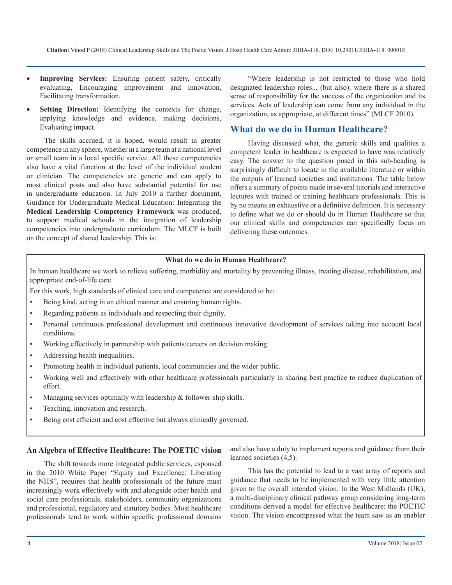- **Improving Services:** Ensuring patient safety, critically evaluating, Encouraging improvement and innovation, Facilitating transformation.
- **Setting Direction:** Identifying the contexts for change, applying knowledge and evidence, making decisions, Evaluating impact.

The skills accrued, it is hoped, would result in greater competence in any sphere, whether in a large team at a national level or small team in a local specific service. All these competencies also have a vital function at the level of the individual student or clinician. The competencies are generic and can apply to most clinical posts and also have substantial potential for use in undergraduate education. In July 2010 a further document, Guidance for Undergraduate Medical Education: Integrating the **Medical Leadership Competency Framework** was produced, to support medical schools in the integration of leadership competencies into undergraduate curriculum. The MLCF is built on the concept of shared leadership. This is:

"Where leadership is not restricted to those who hold designated leadership roles... (but also). where there is a shared sense of responsibility for the success of the organization and its services. Acts of leadership can come from any individual in the organization, as appropriate, at different times" (MLCF 2010).

# **What do we do in Human Healthcare?**

Having discussed what, the generic skills and qualities a competent leader in healthcare is expected to have was relatively easy. The answer to the question posed in this sub-heading is surprisingly difficult to locate in the available literature or within the outputs of learned societies and institutions. The table below offers a summary of points made in several tutorials and interactive lectures with trained or training healthcare professionals. This is by no means an exhaustive or a definitive definition. It is necessary to define what we do or should do in Human Healthcare so that our clinical skills and competencies can specifically focus on delivering these outcomes.

## **What do we do in Human Healthcare?**

In human healthcare we work to relieve suffering, morbidity and mortality by preventing illness, treating disease, rehabilitation, and appropriate end-of-life care.

For this work, high standards of clinical care and competence are considered to be:

- Being kind, acting in an ethical manner and ensuring human rights.
- Regarding patients as individuals and respecting their dignity.
- Personal continuous professional development and continuous innovative development of services taking into account local conditions.
- Working effectively in partnership with patients/careers on decision making.
- Addressing health inequalities.
- Promoting health in individual patients, local communities and the wider public.
- Working well and effectively with other healthcare professionals particularly in sharing best practice to reduce duplication of effort.
- Managing services optimally with leadership  $&$  follower-ship skills.
- Teaching, innovation and research.
- Being cost efficient and cost effective but always clinically governed.

### **An Algebra of Effective Healthcare: The POETIC vision**

The shift towards more integrated public services, espoused in the 2010 White Paper "Equity and Excellence: Liberating the NHS", requires that health professionals of the future must increasingly work effectively with and alongside other health and social care professionals, stakeholders, community organizations and professional, regulatory and statutory bodies. Most healthcare professionals tend to work within specific professional domains

and also have a duty to implement reports and guidance from their learned societies (4,5).

This has the potential to lead to a vast array of reports and guidance that needs to be implemented with very little attention given to the overall intended vision. In the West Midlands (UK), a multi-disciplinary clinical pathway group considering long-term conditions derived a model for effective healthcare: the POETIC vision. The vision encompassed what the team saw as an enabler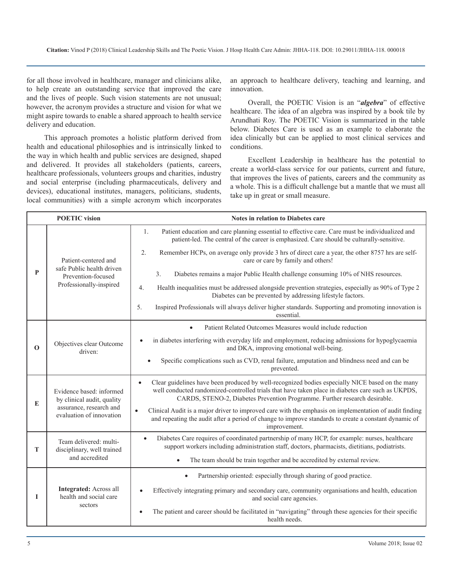for all those involved in healthcare, manager and clinicians alike, to help create an outstanding service that improved the care and the lives of people. Such vision statements are not unusual; however, the acronym provides a structure and vision for what we might aspire towards to enable a shared approach to health service delivery and education.

This approach promotes a holistic platform derived from health and educational philosophies and is intrinsically linked to the way in which health and public services are designed, shaped and delivered. It provides all stakeholders (patients, careers, healthcare professionals, volunteers groups and charities, industry and social enterprise (including pharmaceuticals, delivery and devices), educational institutes, managers, politicians, students, local communities) with a simple acronym which incorporates

an approach to healthcare delivery, teaching and learning, and innovation.

Overall, the POETIC Vision is an "*algebra*" of effective healthcare. The idea of an algebra was inspired by a book tile by Arundhati Roy. The POETIC Vision is summarized in the table below. Diabetes Care is used as an example to elaborate the idea clinically but can be applied to most clinical services and conditions.

Excellent Leadership in healthcare has the potential to create a world-class service for our patients, current and future, that improves the lives of patients, careers and the community as a whole. This is a difficult challenge but a mantle that we must all take up in great or small measure.

|             | <b>POETIC</b> vision<br><b>Notes in relation to Diabetes care</b>                                             |                                                                                                                                                                                                                                                                                                 |
|-------------|---------------------------------------------------------------------------------------------------------------|-------------------------------------------------------------------------------------------------------------------------------------------------------------------------------------------------------------------------------------------------------------------------------------------------|
| P           | Patient-centered and<br>safe Public health driven<br>Prevention-focused<br>Professionally-inspired            | Patient education and care planning essential to effective care. Care must be individualized and<br>1.<br>patient-led. The central of the career is emphasized. Care should be culturally-sensitive.                                                                                            |
|             |                                                                                                               | 2.<br>Remember HCPs, on average only provide 3 hrs of direct care a year, the other 8757 hrs are self-<br>care or care by family and others!                                                                                                                                                    |
|             |                                                                                                               | $\overline{3}$ .<br>Diabetes remains a major Public Health challenge consuming 10% of NHS resources.                                                                                                                                                                                            |
|             |                                                                                                               | 4.<br>Health inequalities must be addressed alongside prevention strategies, especially as 90% of Type 2<br>Diabetes can be prevented by addressing lifestyle factors.                                                                                                                          |
|             |                                                                                                               | Inspired Professionals will always deliver higher standards. Supporting and promoting innovation is<br>5.<br>essential.                                                                                                                                                                         |
| $\mathbf 0$ | Objectives clear Outcome<br>driven:                                                                           | Patient Related Outcomes Measures would include reduction                                                                                                                                                                                                                                       |
|             |                                                                                                               | in diabetes interfering with everyday life and employment, reducing admissions for hypoglycaemia<br>and DKA, improving emotional well-being.                                                                                                                                                    |
|             |                                                                                                               | Specific complications such as CVD, renal failure, amputation and blindness need and can be<br>prevented.                                                                                                                                                                                       |
| E           | Evidence based: informed<br>by clinical audit, quality<br>assurance, research and<br>evaluation of innovation | Clear guidelines have been produced by well-recognized bodies especially NICE based on the many<br>$\bullet$<br>well conducted randomized-controlled trials that have taken place in diabetes care such as UKPDS,<br>CARDS, STENO-2, Diabetes Prevention Programme. Further research desirable. |
|             |                                                                                                               | Clinical Audit is a major driver to improved care with the emphasis on implementation of audit finding<br>$\bullet$<br>and repeating the audit after a period of change to improve standards to create a constant dynamic of<br>improvement.                                                    |
| T           | Team delivered: multi-<br>disciplinary, well trained<br>and accredited                                        | Diabetes Care requires of coordinated partnership of many HCP, for example: nurses, healthcare<br>$\bullet$<br>support workers including administration staff, doctors, pharmacists, dietitians, podiatrists.                                                                                   |
|             |                                                                                                               | The team should be train together and be accredited by external review.<br>$\bullet$                                                                                                                                                                                                            |
| 1           | <b>Integrated:</b> Across all<br>health and social care<br>sectors                                            | Partnership oriented: especially through sharing of good practice.                                                                                                                                                                                                                              |
|             |                                                                                                               | Effectively integrating primary and secondary care, community organisations and health, education<br>$\bullet$<br>and social care agencies.                                                                                                                                                     |
|             |                                                                                                               | The patient and career should be facilitated in "navigating" through these agencies for their specific<br>$\bullet$<br>health needs.                                                                                                                                                            |